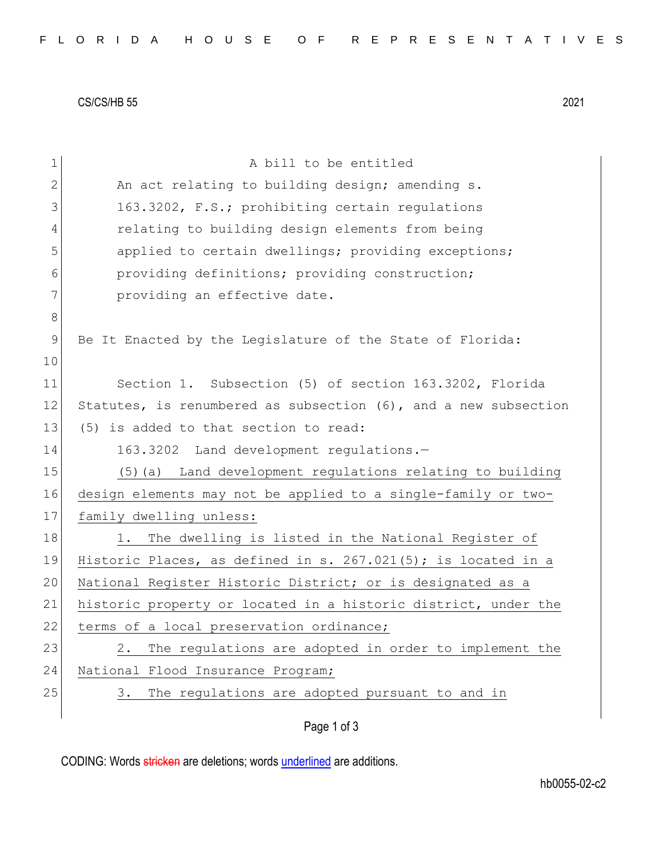CS/CS/HB 55 2021

| $\mathbf 1$ | A bill to be entitled                                            |
|-------------|------------------------------------------------------------------|
| 2           | An act relating to building design; amending s.                  |
| 3           | 163.3202, F.S.; prohibiting certain regulations                  |
| 4           | relating to building design elements from being                  |
| 5           | applied to certain dwellings; providing exceptions;              |
| 6           | providing definitions; providing construction;                   |
| 7           | providing an effective date.                                     |
| 8           |                                                                  |
| 9           | Be It Enacted by the Legislature of the State of Florida:        |
| 10          |                                                                  |
| 11          | Section 1. Subsection (5) of section 163.3202, Florida           |
| 12          | Statutes, is renumbered as subsection (6), and a new subsection  |
| 13          | (5) is added to that section to read:                            |
| 14          | 163.3202 Land development regulations.-                          |
| 15          | (5) (a) Land development regulations relating to building        |
| 16          | design elements may not be applied to a single-family or two-    |
| 17          | family dwelling unless:                                          |
| 18          | The dwelling is listed in the National Register of<br>$1$ .      |
| 19          | Historic Places, as defined in s. $267.021(5)$ ; is located in a |
| 20          | National Register Historic District; or is designated as a       |
| 21          | historic property or located in a historic district, under the   |
| 22          | terms of a local preservation ordinance;                         |
| 23          | The regulations are adopted in order to implement the<br>2.      |
| 24          | National Flood Insurance Program;                                |
| 25          | The regulations are adopted pursuant to and in<br>3.             |
|             | Page 1 of 3                                                      |

CODING: Words stricken are deletions; words underlined are additions.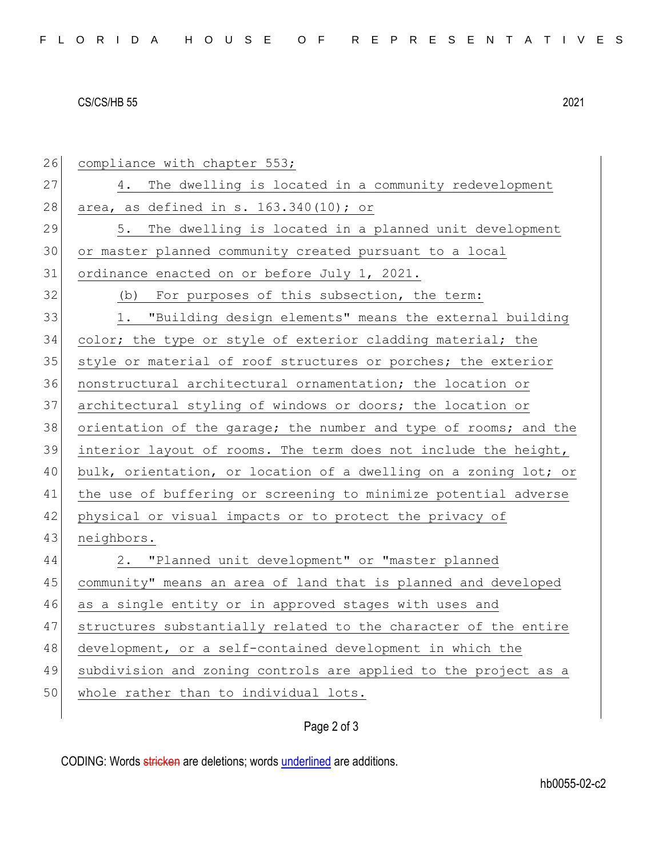## CS/CS/HB 55 2021

| 26 | compliance with chapter 553;                                     |
|----|------------------------------------------------------------------|
| 27 | The dwelling is located in a community redevelopment<br>4.       |
| 28 | area, as defined in s. 163.340(10); or                           |
| 29 | The dwelling is located in a planned unit development<br>5.      |
| 30 | or master planned community created pursuant to a local          |
| 31 | ordinance enacted on or before July 1, 2021.                     |
| 32 | (b) For purposes of this subsection, the term:                   |
| 33 | 1. "Building design elements" means the external building        |
| 34 | color; the type or style of exterior cladding material; the      |
| 35 | style or material of roof structures or porches; the exterior    |
| 36 | nonstructural architectural ornamentation; the location or       |
| 37 | architectural styling of windows or doors; the location or       |
| 38 | orientation of the garage; the number and type of rooms; and the |
| 39 | interior layout of rooms. The term does not include the height,  |
| 40 | bulk, orientation, or location of a dwelling on a zoning lot; or |
| 41 | the use of buffering or screening to minimize potential adverse  |
| 42 | physical or visual impacts or to protect the privacy of          |
| 43 | neighbors.                                                       |
| 44 | 2. "Planned unit development" or "master planned                 |
| 45 | community" means an area of land that is planned and developed   |
| 46 | as a single entity or in approved stages with uses and           |
| 47 | structures substantially related to the character of the entire  |
| 48 | development, or a self-contained development in which the        |
| 49 | subdivision and zoning controls are applied to the project as a  |
| 50 | whole rather than to individual lots.                            |
|    |                                                                  |

## Page 2 of 3

CODING: Words stricken are deletions; words underlined are additions.